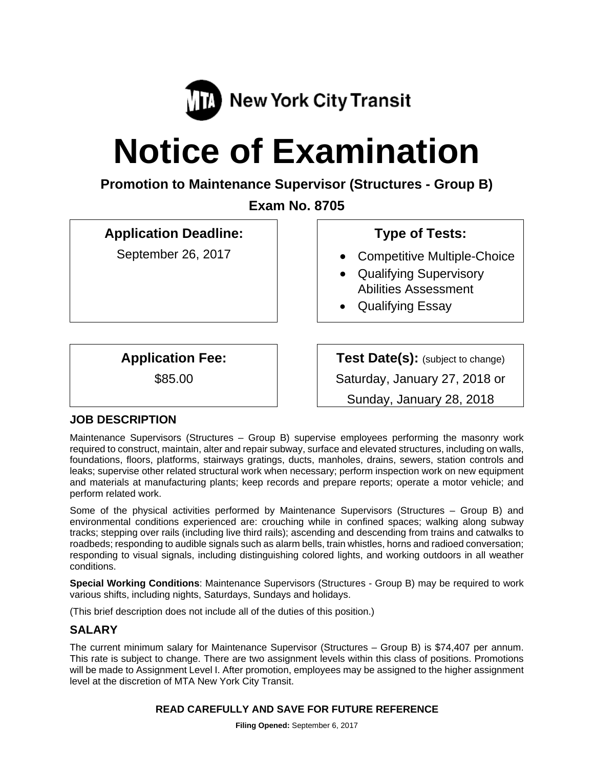

# **Notice of Examination**

**Promotion to Maintenance Supervisor (Structures - Group B)** 

**Exam No. 8705** 

# **Application Deadline:**

September 26, 2017

# **Type of Tests:**

- Competitive Multiple-Choice
- Qualifying Supervisory Abilities Assessment
- Qualifying Essay

**Application Fee:** 

\$85.00

**Test Date(s):** (subject to change) Saturday, January 27, 2018 or

Sunday, January 28, 2018

## **JOB DESCRIPTION**

Maintenance Supervisors (Structures – Group B) supervise employees performing the masonry work required to construct, maintain, alter and repair subway, surface and elevated structures, including on walls, foundations, floors, platforms, stairways gratings, ducts, manholes, drains, sewers, station controls and leaks; supervise other related structural work when necessary; perform inspection work on new equipment and materials at manufacturing plants; keep records and prepare reports; operate a motor vehicle; and perform related work.

Some of the physical activities performed by Maintenance Supervisors (Structures – Group B) and environmental conditions experienced are: crouching while in confined spaces; walking along subway tracks; stepping over rails (including live third rails); ascending and descending from trains and catwalks to roadbeds; responding to audible signals such as alarm bells, train whistles, horns and radioed conversation; responding to visual signals, including distinguishing colored lights, and working outdoors in all weather conditions.

**Special Working Conditions**: Maintenance Supervisors (Structures - Group B) may be required to work various shifts, including nights, Saturdays, Sundays and holidays.

(This brief description does not include all of the duties of this position.)

## **SALARY**

The current minimum salary for Maintenance Supervisor (Structures – Group B) is \$74,407 per annum. This rate is subject to change. There are two assignment levels within this class of positions. Promotions will be made to Assignment Level I. After promotion, employees may be assigned to the higher assignment level at the discretion of MTA New York City Transit.

## **READ CAREFULLY AND SAVE FOR FUTURE REFERENCE**

**Filing Opened:** September 6, 2017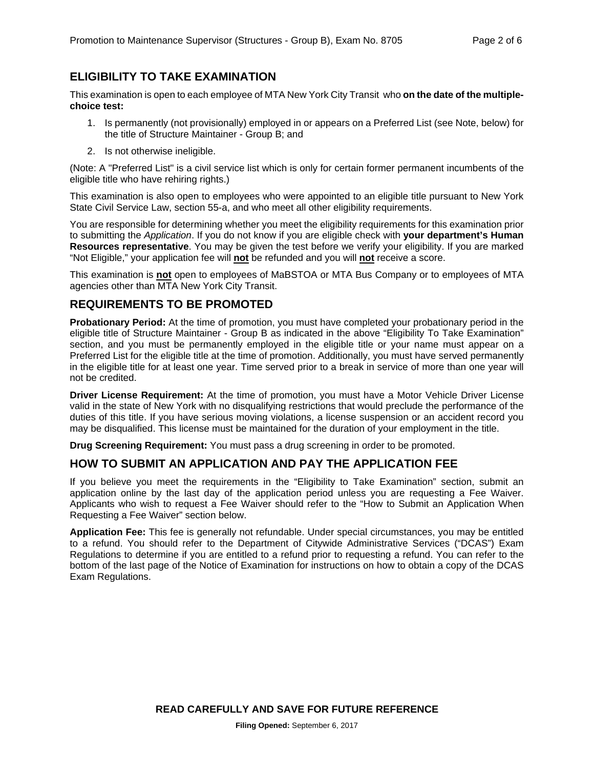## **ELIGIBILITY TO TAKE EXAMINATION**

This examination is open to each employee of MTA New York City Transit who **on the date of the multiplechoice test:** 

- 1. Is permanently (not provisionally) employed in or appears on a Preferred List (see Note, below) for the title of Structure Maintainer - Group B; and
- 2. Is not otherwise ineligible.

(Note: A "Preferred List" is a civil service list which is only for certain former permanent incumbents of the eligible title who have rehiring rights.)

This examination is also open to employees who were appointed to an eligible title pursuant to New York State Civil Service Law, section 55-a, and who meet all other eligibility requirements.

You are responsible for determining whether you meet the eligibility requirements for this examination prior to submitting the *Application*. If you do not know if you are eligible check with **your department's Human Resources representative**. You may be given the test before we verify your eligibility. If you are marked "Not Eligible," your application fee will **not** be refunded and you will **not** receive a score.

This examination is **not** open to employees of MaBSTOA or MTA Bus Company or to employees of MTA agencies other than MTA New York City Transit.

## **REQUIREMENTS TO BE PROMOTED**

**Probationary Period:** At the time of promotion, you must have completed your probationary period in the eligible title of Structure Maintainer - Group B as indicated in the above "Eligibility To Take Examination" section, and you must be permanently employed in the eligible title or your name must appear on a Preferred List for the eligible title at the time of promotion. Additionally, you must have served permanently in the eligible title for at least one year. Time served prior to a break in service of more than one year will not be credited.

**Driver License Requirement:** At the time of promotion, you must have a Motor Vehicle Driver License valid in the state of New York with no disqualifying restrictions that would preclude the performance of the duties of this title. If you have serious moving violations, a license suspension or an accident record you may be disqualified. This license must be maintained for the duration of your employment in the title.

**Drug Screening Requirement:** You must pass a drug screening in order to be promoted.

## **HOW TO SUBMIT AN APPLICATION AND PAY THE APPLICATION FEE**

If you believe you meet the requirements in the "Eligibility to Take Examination" section, submit an application online by the last day of the application period unless you are requesting a Fee Waiver. Applicants who wish to request a Fee Waiver should refer to the "How to Submit an Application When Requesting a Fee Waiver" section below.

**Application Fee:** This fee is generally not refundable. Under special circumstances, you may be entitled to a refund. You should refer to the Department of Citywide Administrative Services ("DCAS") Exam Regulations to determine if you are entitled to a refund prior to requesting a refund. You can refer to the bottom of the last page of the Notice of Examination for instructions on how to obtain a copy of the DCAS Exam Regulations.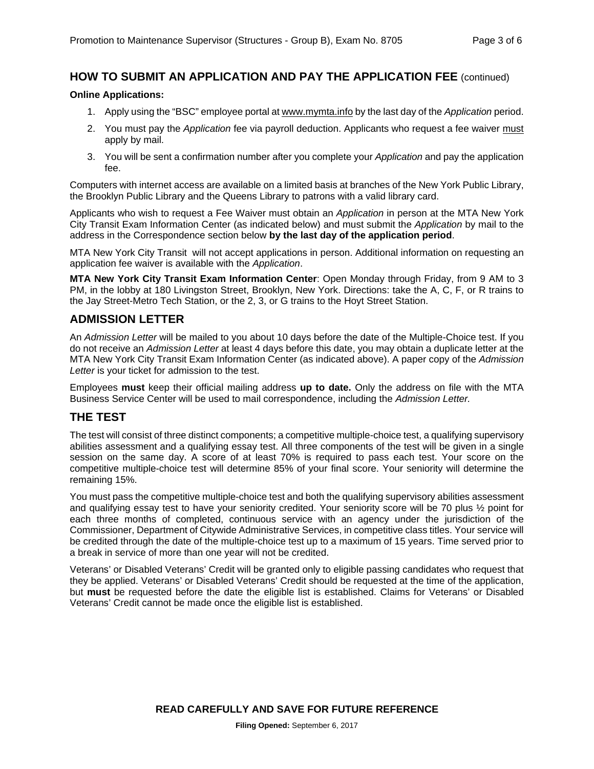## **HOW TO SUBMIT AN APPLICATION AND PAY THE APPLICATION FEE** (continued)

#### **Online Applications:**

- 1. Apply using the "BSC" employee portal at www.mymta.info by the last day of the *Application* period.
- 2. You must pay the *Application* fee via payroll deduction. Applicants who request a fee waiver must apply by mail.
- 3. You will be sent a confirmation number after you complete your *Application* and pay the application fee.

Computers with internet access are available on a limited basis at branches of the New York Public Library, the Brooklyn Public Library and the Queens Library to patrons with a valid library card.

Applicants who wish to request a Fee Waiver must obtain an *Application* in person at the MTA New York City Transit Exam Information Center (as indicated below) and must submit the *Application* by mail to the address in the Correspondence section below **by the last day of the application period**.

MTA New York City Transit will not accept applications in person. Additional information on requesting an application fee waiver is available with the *Application*.

**MTA New York City Transit Exam Information Center**: Open Monday through Friday, from 9 AM to 3 PM, in the lobby at 180 Livingston Street, Brooklyn, New York. Directions: take the A, C, F, or R trains to the Jay Street-Metro Tech Station, or the 2, 3, or G trains to the Hoyt Street Station.

## **ADMISSION LETTER**

An *Admission Letter* will be mailed to you about 10 days before the date of the Multiple-Choice test. If you do not receive an *Admission Letter* at least 4 days before this date, you may obtain a duplicate letter at the MTA New York City Transit Exam Information Center (as indicated above). A paper copy of the *Admission Letter* is your ticket for admission to the test.

Employees **must** keep their official mailing address **up to date.** Only the address on file with the MTA Business Service Center will be used to mail correspondence, including the *Admission Letter.*

## **THE TEST**

The test will consist of three distinct components; a competitive multiple-choice test, a qualifying supervisory abilities assessment and a qualifying essay test. All three components of the test will be given in a single session on the same day. A score of at least 70% is required to pass each test. Your score on the competitive multiple-choice test will determine 85% of your final score. Your seniority will determine the remaining 15%.

You must pass the competitive multiple-choice test and both the qualifying supervisory abilities assessment and qualifying essay test to have your seniority credited. Your seniority score will be 70 plus ½ point for each three months of completed, continuous service with an agency under the jurisdiction of the Commissioner, Department of Citywide Administrative Services, in competitive class titles. Your service will be credited through the date of the multiple-choice test up to a maximum of 15 years. Time served prior to a break in service of more than one year will not be credited.

Veterans' or Disabled Veterans' Credit will be granted only to eligible passing candidates who request that they be applied. Veterans' or Disabled Veterans' Credit should be requested at the time of the application, but **must** be requested before the date the eligible list is established. Claims for Veterans' or Disabled Veterans' Credit cannot be made once the eligible list is established.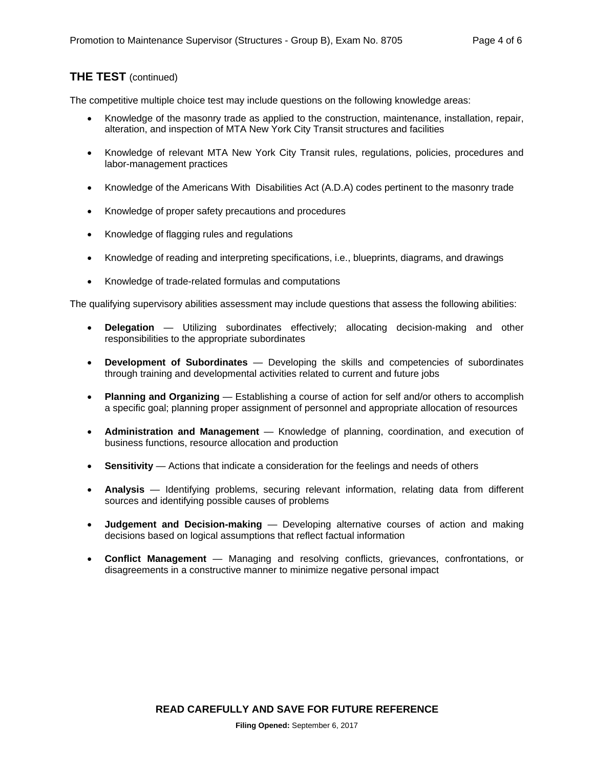## **THE TEST** (continued)

The competitive multiple choice test may include questions on the following knowledge areas:

- Knowledge of the masonry trade as applied to the construction, maintenance, installation, repair, alteration, and inspection of MTA New York City Transit structures and facilities
- Knowledge of relevant MTA New York City Transit rules, regulations, policies, procedures and labor-management practices
- Knowledge of the Americans With Disabilities Act (A.D.A) codes pertinent to the masonry trade
- Knowledge of proper safety precautions and procedures
- Knowledge of flagging rules and regulations
- Knowledge of reading and interpreting specifications, i.e., blueprints, diagrams, and drawings
- Knowledge of trade-related formulas and computations

The qualifying supervisory abilities assessment may include questions that assess the following abilities:

- **Delegation** Utilizing subordinates effectively; allocating decision-making and other responsibilities to the appropriate subordinates
- **Development of Subordinates** Developing the skills and competencies of subordinates through training and developmental activities related to current and future jobs
- **Planning and Organizing** Establishing a course of action for self and/or others to accomplish a specific goal; planning proper assignment of personnel and appropriate allocation of resources
- **Administration and Management** Knowledge of planning, coordination, and execution of business functions, resource allocation and production
- **Sensitivity** Actions that indicate a consideration for the feelings and needs of others
- **Analysis** Identifying problems, securing relevant information, relating data from different sources and identifying possible causes of problems
- **Judgement and Decision-making** Developing alternative courses of action and making decisions based on logical assumptions that reflect factual information
- **Conflict Management** Managing and resolving conflicts, grievances, confrontations, or disagreements in a constructive manner to minimize negative personal impact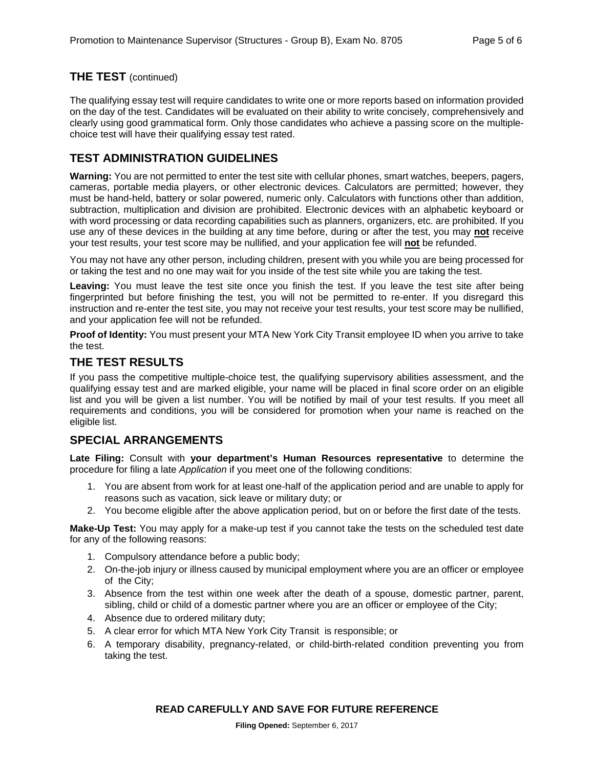## **THE TEST** (continued)

The qualifying essay test will require candidates to write one or more reports based on information provided on the day of the test. Candidates will be evaluated on their ability to write concisely, comprehensively and clearly using good grammatical form. Only those candidates who achieve a passing score on the multiplechoice test will have their qualifying essay test rated.

## **TEST ADMINISTRATION GUIDELINES**

**Warning:** You are not permitted to enter the test site with cellular phones, smart watches, beepers, pagers, cameras, portable media players, or other electronic devices. Calculators are permitted; however, they must be hand-held, battery or solar powered, numeric only. Calculators with functions other than addition, subtraction, multiplication and division are prohibited. Electronic devices with an alphabetic keyboard or with word processing or data recording capabilities such as planners, organizers, etc. are prohibited. If you use any of these devices in the building at any time before, during or after the test, you may **not** receive your test results, your test score may be nullified, and your application fee will **not** be refunded.

You may not have any other person, including children, present with you while you are being processed for or taking the test and no one may wait for you inside of the test site while you are taking the test.

Leaving: You must leave the test site once you finish the test. If you leave the test site after being fingerprinted but before finishing the test, you will not be permitted to re-enter. If you disregard this instruction and re-enter the test site, you may not receive your test results, your test score may be nullified, and your application fee will not be refunded.

**Proof of Identity:** You must present your MTA New York City Transit employee ID when you arrive to take the test.

## **THE TEST RESULTS**

If you pass the competitive multiple-choice test, the qualifying supervisory abilities assessment, and the qualifying essay test and are marked eligible, your name will be placed in final score order on an eligible list and you will be given a list number. You will be notified by mail of your test results. If you meet all requirements and conditions, you will be considered for promotion when your name is reached on the eligible list.

## **SPECIAL ARRANGEMENTS**

**Late Filing:** Consult with **your department's Human Resources representative** to determine the procedure for filing a late *Application* if you meet one of the following conditions:

- 1. You are absent from work for at least one-half of the application period and are unable to apply for reasons such as vacation, sick leave or military duty; or
- 2. You become eligible after the above application period, but on or before the first date of the tests.

**Make-Up Test:** You may apply for a make-up test if you cannot take the tests on the scheduled test date for any of the following reasons:

- 1. Compulsory attendance before a public body;
- 2. On-the-job injury or illness caused by municipal employment where you are an officer or employee of the City;
- 3. Absence from the test within one week after the death of a spouse, domestic partner, parent, sibling, child or child of a domestic partner where you are an officer or employee of the City;
- 4. Absence due to ordered military duty;
- 5. A clear error for which MTA New York City Transit is responsible; or
- 6. A temporary disability, pregnancy-related, or child-birth-related condition preventing you from taking the test.

#### **READ CAREFULLY AND SAVE FOR FUTURE REFERENCE**